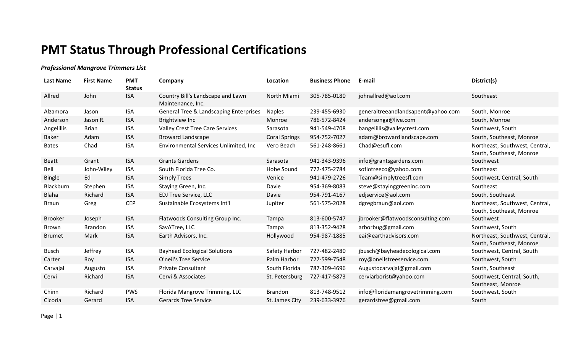## **PMT Status Through Professional Certifications**

## *Professional Mangrove Trimmers List*

| <b>Last Name</b> | <b>First Name</b> | <b>PMT</b><br><b>Status</b> | Company                                                | Location             | <b>Business Phone</b> | E-mail                             | District(s)                                                |
|------------------|-------------------|-----------------------------|--------------------------------------------------------|----------------------|-----------------------|------------------------------------|------------------------------------------------------------|
| Allred           | John              | <b>ISA</b>                  | Country Bill's Landscape and Lawn<br>Maintenance, Inc. | North Miami          | 305-785-0180          | johnallred@aol.com                 | Southeast                                                  |
| Alzamora         | Jason             | <b>ISA</b>                  | <b>General Tree &amp; Landscaping Enterprises</b>      | <b>Naples</b>        | 239-455-6930          | generaltreeandlandsapent@yahoo.com | South, Monroe                                              |
| Anderson         | Jason R.          | <b>ISA</b>                  | <b>Brightview Inc</b>                                  | Monroe               | 786-572-8424          | andersonga@live.com                | South, Monroe                                              |
| Angelillis       | <b>Brian</b>      | <b>ISA</b>                  | <b>Valley Crest Tree Care Services</b>                 | Sarasota             | 941-549-4708          | bangelillis@valleycrest.com        | Southwest, South                                           |
| <b>Baker</b>     | Adam              | <b>ISA</b>                  | <b>Broward Landscape</b>                               | <b>Coral Springs</b> | 954-752-7027          | adam@browardlandscape.com          | South, Southeast, Monroe                                   |
| <b>Bates</b>     | Chad              | <b>ISA</b>                  | Environmental Services Unlimited, Inc                  | Vero Beach           | 561-248-8661          | Chad@esufl.com                     | Northeast, Southwest, Central,<br>South, Southeast, Monroe |
| <b>Beatt</b>     | Grant             | <b>ISA</b>                  | <b>Grants Gardens</b>                                  | Sarasota             | 941-343-9396          | info@grantsgardens.com             | Southwest                                                  |
| Bell             | John-Wiley        | <b>ISA</b>                  | South Florida Tree Co.                                 | Hobe Sound           | 772-475-2784          | soflotreeco@yahoo.com              | Southeast                                                  |
| <b>Bingle</b>    | Ed                | <b>ISA</b>                  | <b>Simply Trees</b>                                    | Venice               | 941-479-2726          | Team@simplytreesfl.com             | Southwest, Central, South                                  |
| Blackburn        | Stephen           | <b>ISA</b>                  | Staying Green, Inc.                                    | Davie                | 954-369-8083          | steve@stayinggreeninc.com          | Southeast                                                  |
| <b>Blaha</b>     | Richard           | <b>ISA</b>                  | <b>EDJ Tree Service, LLC</b>                           | Davie                | 954-791-4167          | edjservice@aol.com                 | South, Southeast                                           |
| <b>Braun</b>     | Greg              | <b>CEP</b>                  | Sustainable Ecosystems Int'l                           | Jupiter              | 561-575-2028          | dgregbraun@aol.com                 | Northeast, Southwest, Central,<br>South, Southeast, Monroe |
| <b>Brooker</b>   | Joseph            | <b>ISA</b>                  | Flatwoods Consulting Group Inc.                        | Tampa                | 813-600-5747          | jbrooker@flatwoodsconsulting.com   | Southwest                                                  |
| Brown            | <b>Brandon</b>    | <b>ISA</b>                  | SavATree, LLC                                          | Tampa                | 813-352-9428          | arborbug@gmail.com                 | Southwest, South                                           |
| <b>Brumet</b>    | Mark              | <b>ISA</b>                  | Earth Advisors, Inc.                                   | Hollywood            | 954-987-1885          | eai@earthadvisors.com              | Northeast, Southwest, Central,<br>South, Southeast, Monroe |
| <b>Busch</b>     | Jeffrey           | <b>ISA</b>                  | <b>Bayhead Ecological Solutions</b>                    | Safety Harbor        | 727-482-2480          | jbusch@bayheadecological.com       | Southwest, Central, South                                  |
| Carter           | Roy               | <b>ISA</b>                  | O'neil's Tree Service                                  | Palm Harbor          | 727-599-7548          | roy@oneilstreeservice.com          | Southwest, South                                           |
| Carvajal         | Augusto           | <b>ISA</b>                  | <b>Private Consultant</b>                              | South Florida        | 787-309-4696          | Augustocarvajal@gmail.com          | South, Southeast                                           |
| Cervi            | Richard           | <b>ISA</b>                  | Cervi & Associates                                     | St. Petersburg       | 727-417-5873          | cerviarborist@yahoo.com            | Southwest, Central, South,<br>Southeast, Monroe            |
| Chinn            | Richard           | <b>PWS</b>                  | Florida Mangrove Trimming, LLC                         | <b>Brandon</b>       | 813-748-9512          | info@floridamangrovetrimming.com   | Southwest, South                                           |
| Cicoria          | Gerard            | <b>ISA</b>                  | <b>Gerards Tree Service</b>                            | St. James City       | 239-633-3976          | gerardstree@gmail.com              | South                                                      |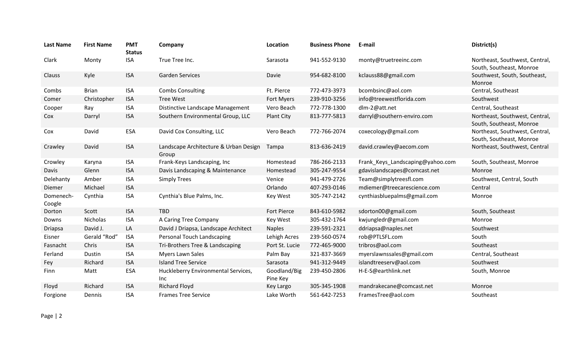| <b>Last Name</b>    | <b>First Name</b> | <b>PMT</b><br><b>Status</b> | Company                                        | Location                 | <b>Business Phone</b> | E-mail                           | District(s)                                                |
|---------------------|-------------------|-----------------------------|------------------------------------------------|--------------------------|-----------------------|----------------------------------|------------------------------------------------------------|
| Clark               | Monty             | <b>ISA</b>                  | True Tree Inc.                                 | Sarasota                 | 941-552-9130          | monty@truetreeinc.com            | Northeast, Southwest, Central,<br>South, Southeast, Monroe |
| Clauss              | Kyle              | <b>ISA</b>                  | <b>Garden Services</b>                         | Davie                    | 954-682-8100          | kclauss88@gmail.com              | Southwest, South, Southeast,<br>Monroe                     |
| Combs               | <b>Brian</b>      | <b>ISA</b>                  | <b>Combs Consulting</b>                        | Ft. Pierce               | 772-473-3973          | bcombsinc@aol.com                | Central, Southeast                                         |
| Comer               | Christopher       | <b>ISA</b>                  | <b>Tree West</b>                               | Fort Myers               | 239-910-3256          | info@treewestflorida.com         | Southwest                                                  |
| Cooper              | Ray               | <b>ISA</b>                  | Distinctive Landscape Management               | Vero Beach               | 772-778-1300          | dlm-2@att.net                    | Central, Southeast                                         |
| Cox                 | Darryl            | <b>ISA</b>                  | Southern Environmental Group, LLC              | Plant City               | 813-777-5813          | darryl@southern-enviro.com       | Northeast, Southwest, Central,<br>South, Southeast, Monroe |
| Cox                 | David             | ESA                         | David Cox Consulting, LLC                      | Vero Beach               | 772-766-2074          | coxecology@gmail.com             | Northeast, Southwest, Central,<br>South, Southeast, Monroe |
| Crawley             | David             | <b>ISA</b>                  | Landscape Architecture & Urban Design<br>Group | Tampa                    | 813-636-2419          | david.crawley@aecom.com          | Northeast, Southwest, Central                              |
| Crowley             | Karyna            | <b>ISA</b>                  | Frank-Keys Landscaping, Inc                    | Homestead                | 786-266-2133          | Frank_Keys_Landscaping@yahoo.com | South, Southeast, Monroe                                   |
| Davis               | Glenn             | <b>ISA</b>                  | Davis Landscaping & Maintenance                | Homestead                | 305-247-9554          | gdavislandscapes@comcast.net     | Monroe                                                     |
| Delehanty           | Amber             | <b>ISA</b>                  | <b>Simply Trees</b>                            | Venice                   | 941-479-2726          | Team@simplytreesfl.com           | Southwest, Central, South                                  |
| Diemer              | Michael           | <b>ISA</b>                  |                                                | Orlando                  | 407-293-0146          | mdiemer@treecarescience.com      | Central                                                    |
| Domenech-<br>Coogle | Cynthia           | <b>ISA</b>                  | Cynthia's Blue Palms, Inc.                     | Key West                 | 305-747-2142          | cynthiasbluepalms@gmail.com      | Monroe                                                     |
| Dorton              | Scott             | <b>ISA</b>                  | <b>TBD</b>                                     | Fort Pierce              | 843-610-5982          | sdorton00@gmail.com              | South, Southeast                                           |
| Downs               | Nicholas          | <b>ISA</b>                  | A Caring Tree Company                          | Key West                 | 305-432-1764          | kwjungledr@gmail.com             | Monroe                                                     |
| Driapsa             | David J.          | LA                          | David J Driapsa, Landscape Architect           | <b>Naples</b>            | 239-591-2321          | ddriapsa@naples.net              | Southwest                                                  |
| Eisner              | Gerald "Rod"      | <b>ISA</b>                  | Personal Touch Landscaping                     | Lehigh Acres             | 239-560-0574          | rob@PTLSFL.com                   | South                                                      |
| Fasnacht            | Chris             | <b>ISA</b>                  | Tri-Brothers Tree & Landscaping                | Port St. Lucie           | 772-465-9000          | tribros@aol.com                  | Southeast                                                  |
| Ferland             | Dustin            | <b>ISA</b>                  | Myers Lawn Sales                               | Palm Bay                 | 321-837-3669          | myerslawnssales@gmail.com        | Central, Southeast                                         |
| Fey                 | Richard           | <b>ISA</b>                  | <b>Island Tree Service</b>                     | Sarasota                 | 941-312-9449          | islandtreeserv@aol.com           | Southwest                                                  |
| Finn                | Matt              | ESA                         | Huckleberry Environmental Services,<br>Inc     | Goodland/Big<br>Pine Key | 239-450-2806          | H-E-S@earthlink.net              | South, Monroe                                              |
| Floyd               | Richard           | <b>ISA</b>                  | <b>Richard Floyd</b>                           | Key Largo                | 305-345-1908          | mandrakecane@comcast.net         | Monroe                                                     |
| Forgione            | Dennis            | <b>ISA</b>                  | <b>Frames Tree Service</b>                     | Lake Worth               | 561-642-7253          | FramesTree@aol.com               | Southeast                                                  |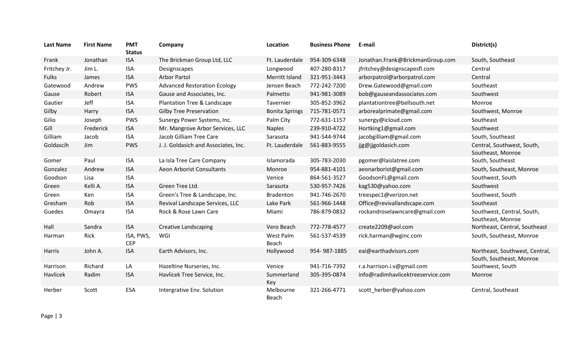| <b>Last Name</b> | <b>First Name</b> | <b>PMT</b><br><b>Status</b> | Company                              | Location              | <b>Business Phone</b> | E-mail                            | District(s)                                                |
|------------------|-------------------|-----------------------------|--------------------------------------|-----------------------|-----------------------|-----------------------------------|------------------------------------------------------------|
| Frank            | Jonathan          | <b>ISA</b>                  | The Brickman Group Ltd, LLC          | Ft. Lauderdale        | 954-309-6348          | Jonathan.Frank@BrickmanGroup.com  | South, Southeast                                           |
| Fritchey Jr.     | Jim L.            | <b>ISA</b>                  | Designscapes                         | Longwood              | 407-280-8317          | jfritchey@designscapesfl.com      | Central                                                    |
| <b>Fulks</b>     | James             | <b>ISA</b>                  | <b>Arbor Partol</b>                  | Merritt Island        | 321-951-3443          | arborpatrol@arborpatrol.com       | Central                                                    |
| Gatewood         | Andrew            | <b>PWS</b>                  | <b>Advanced Restoration Ecology</b>  | Jensen Beach          | 772-242-7200          | Drew.Gatewood@gmail.com           | Southeast                                                  |
| Gause            | Robert            | <b>ISA</b>                  | Gause and Associates, Inc.           | Palmetto              | 941-981-3089          | bob@gauseandassociates.com        | Southwest                                                  |
| Gautier          | Jeff              | <b>ISA</b>                  | Plantation Tree & Landscape          | Tavernier             | 305-852-3962          | plantationtree@bellsouth.net      | Monroe                                                     |
| Gilby            | Harry             | <b>ISA</b>                  | <b>Gilby Tree Preservation</b>       | <b>Bonita Springs</b> | 715-781-0571          | arborealprimate@gmail.com         | Southwest, Monroe                                          |
| Gilio            | Joseph            | <b>PWS</b>                  | Sunergy Power Systems, Inc.          | Palm City             | 772-631-1157          | sunergy@icloud.com                | Southeast                                                  |
| Gill             | Frederick         | <b>ISA</b>                  | Mr. Mangrove Arbor Services, LLC     | <b>Naples</b>         | 239-910-4722          | Hortking1@gmail.com               | Southwest                                                  |
| Gilliam          | Jacob             | <b>ISA</b>                  | Jacob Gilliam Tree Care              | Sarasota              | 941-544-9744          | jacobgilliam@gmail.com            | South, Southeast                                           |
| Goldascih        | Jim               | <b>PWS</b>                  | J. J. Goldasich and Associates, Inc. | Ft. Lauderdale        | 561-883-9555          | jjg@jjgoldasich.com               | Central, Southwest, South,<br>Southeast, Monroe            |
| Gomer            | Paul              | <b>ISA</b>                  | La Isla Tree Care Company            | Islamorada            | 305-783-2030          | pgomer@laislatree.com             | South, Southeast                                           |
| Gonzalez         | Andrew            | <b>ISA</b>                  | Aeon Arborist Consultants            | Monroe                | 954-881-4101          | aeonarborist@gmail.com            | South, Southeast, Monroe                                   |
| Goodson          | Lisa              | <b>ISA</b>                  |                                      | Venice                | 864-561-3527          | GoodsonFL@gmail.com               | Southwest, South                                           |
| Green            | Kelli A.          | <b>ISA</b>                  | Green Tree Ltd.                      | Sarasota              | 530-957-7426          | kag530@yahoo.com                  | Southwest                                                  |
| Green            | Ken               | <b>ISA</b>                  | Green's Tree & Landscape, Inc.       | Bradenton             | 941-746-2670          | treespec1@verizon.net             | Southwest, South                                           |
| Gresham          | Rob               | <b>ISA</b>                  | Revival Landscape Services, LLC      | Lake Park             | 561-966-1448          | Office@revivallandscape.com       | Southeast                                                  |
| Guedes           | Omayra            | <b>ISA</b>                  | Rock & Rose Lawn Care                | Miami                 | 786-879-0832          | rockandroselawncare@gmail.com     | Southwest, Central, South,<br>Southeast, Monroe            |
| Hall             | Sandra            | <b>ISA</b>                  | <b>Creative Landscaping</b>          | Vero Beach            | 772-778-4577          | create2209@aol.com                | Northeast, Central, Southeast                              |
| Harman           | Rick              | ISA, PWS,<br><b>CEP</b>     | WGI                                  | West Palm<br>Beach    | 561-537-4539          | rick.harman@wginc.com             | South, Southeast, Monroe                                   |
| Harris           | John A.           | <b>ISA</b>                  | Earth Advisors, Inc.                 | Hollywood             | 954-987-1885          | eai@earthadvisors.com             | Northeast, Southwest, Central,<br>South, Southeast, Monroe |
| Harrison         | Richard           | LA                          | Hazeltine Nurseries, Inc.            | Venice                | 941-716-7392          | r.a.harrison.i.v@gmail.com        | Southwest, South                                           |
| Havlicek         | Radim             | <b>ISA</b>                  | Havlicek Tree Service, Inc.          | Summerland<br>Key     | 305-395-0874          | info@radimhavlicektreeservice.com | Monroe                                                     |
| Herber           | Scott             | <b>ESA</b>                  | Intergrative Env. Solution           | Melbourne<br>Beach    | 321-266-4771          | scott_herber@yahoo.com            | Central, Southeast                                         |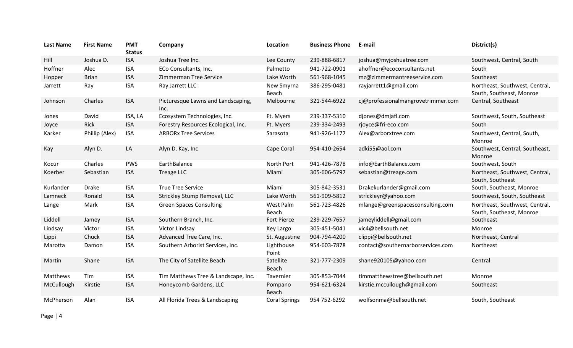| <b>Last Name</b> | <b>First Name</b> | <b>PMT</b><br><b>Status</b> | Company                                    | Location             | <b>Business Phone</b> | E-mail                             | District(s)                                                |
|------------------|-------------------|-----------------------------|--------------------------------------------|----------------------|-----------------------|------------------------------------|------------------------------------------------------------|
| Hill             | Joshua D.         | <b>ISA</b>                  | Joshua Tree Inc.                           | Lee County           | 239-888-6817          | joshua@myjoshuatree.com            | Southwest, Central, South                                  |
| Hoffner          | Alec              | <b>ISA</b>                  | ECo Consultants, Inc.                      | Palmetto             | 941-722-0901          | ahoffner@ecoconsultants.net        | South                                                      |
| Hopper           | <b>Brian</b>      | <b>ISA</b>                  | Zimmerman Tree Service                     | Lake Worth           | 561-968-1045          | mz@zimmermantreeservice.com        | Southeast                                                  |
| Jarrett          | Ray               | <b>ISA</b>                  | Ray Jarrett LLC                            | New Smyrna<br>Beach  | 386-295-0481          | rayjarrett1@gmail.com              | Northeast, Southwest, Central,<br>South, Southeast, Monroe |
| Johnson          | Charles           | <b>ISA</b>                  | Picturesque Lawns and Landscaping,<br>Inc. | Melbourne            | 321-544-6922          | cj@professionalmangrovetrimmer.com | Central, Southeast                                         |
| Jones            | David             | ISA, LA                     | Ecosystem Technologies, Inc.               | Ft. Myers            | 239-337-5310          | djones@dmjafl.com                  | Southwest, South, Southeast                                |
| Joyce            | Rick              | <b>ISA</b>                  | Forestry Resources Ecological, Inc.        | Ft. Myers            | 239-334-2493          | rjoyce@fri-eco.com                 | South                                                      |
| Karker           | Phillip (Alex)    | <b>ISA</b>                  | <b>ARBORx Tree Services</b>                | Sarasota             | 941-926-1177          | Alex@arborxtree.com                | Southwest, Central, South,<br>Monroe                       |
| Kay              | Alyn D.           | LA                          | Alyn D. Kay, Inc                           | Cape Coral           | 954-410-2654          | adki55@aol.com                     | Southwest, Central, Southeast,<br>Monroe                   |
| Kocur            | Charles           | <b>PWS</b>                  | EarthBalance                               | North Port           | 941-426-7878          | info@EarthBalance.com              | Southwest, South                                           |
| Koerber          | Sebastian         | <b>ISA</b>                  | <b>Treage LLC</b>                          | Miami                | 305-606-5797          | sebastian@treage.com               | Northeast, Southwest, Central,<br>South, Southeast         |
| Kurlander        | <b>Drake</b>      | <b>ISA</b>                  | <b>True Tree Service</b>                   | Miami                | 305-842-3531          | Drakekurlander@gmail.com           | South, Southeast, Monroe                                   |
| Lamneck          | Ronald            | <b>ISA</b>                  | Strickley Stump Removal, LLC               | Lake Worth           | 561-909-5812          | strickleyr@yahoo.com               | Southwest, South, Southeast                                |
| Lange            | Mark              | <b>ISA</b>                  | <b>Green Spaces Consulting</b>             | West Palm<br>Beach   | 561-723-4826          | mlange@greenspacesconsulting.com   | Northeast, Southwest, Central,<br>South, Southeast, Monroe |
| Liddell          | Jamey             | <b>ISA</b>                  | Southern Branch, Inc.                      | <b>Fort Pierce</b>   | 239-229-7657          | jameyliddell@gmail.com             | Southeast                                                  |
| Lindsay          | Victor            | <b>ISA</b>                  | Victor Lindsay                             | Key Largo            | 305-451-5041          | vic4@bellsouth.net                 | Monroe                                                     |
| Lippi            | Chuck             | <b>ISA</b>                  | Advanced Tree Care, Inc.                   | St. Augustine        | 904-794-4200          | clippi@bellsouth.net               | Northeast, Central                                         |
| Marotta          | Damon             | <b>ISA</b>                  | Southern Arborist Services, Inc.           | Lighthouse<br>Point  | 954-603-7878          | contact@southernarborservices.com  | Northeast                                                  |
| Martin           | Shane             | <b>ISA</b>                  | The City of Satellite Beach                | Satellite<br>Beach   | 321-777-2309          | shane920105@yahoo.com              | Central                                                    |
| Matthews         | Tim               | <b>ISA</b>                  | Tim Matthews Tree & Landscape, Inc.        | Tavernier            | 305-853-7044          | timmatthewstree@bellsouth.net      | Monroe                                                     |
| McCullough       | Kirstie           | <b>ISA</b>                  | Honeycomb Gardens, LLC                     | Pompano<br>Beach     | 954-621-6324          | kirstie.mccullough@gmail.com       | Southeast                                                  |
| McPherson        | Alan              | <b>ISA</b>                  | All Florida Trees & Landscaping            | <b>Coral Springs</b> | 954 752-6292          | wolfsonma@bellsouth.net            | South, Southeast                                           |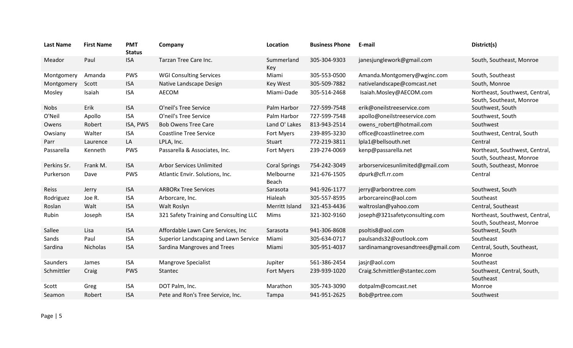| <b>Last Name</b> | <b>First Name</b> | <b>PMT</b><br><b>Status</b> | Company                                | Location             | <b>Business Phone</b> | E-mail                             | District(s)                                                |
|------------------|-------------------|-----------------------------|----------------------------------------|----------------------|-----------------------|------------------------------------|------------------------------------------------------------|
| Meador           | Paul              | <b>ISA</b>                  | Tarzan Tree Care Inc.                  | Summerland<br>Key    | 305-304-9303          | janesjunglework@gmail.com          | South, Southeast, Monroe                                   |
| Montgomery       | Amanda            | <b>PWS</b>                  | <b>WGI Consulting Services</b>         | Miami                | 305-553-0500          | Amanda.Montgomery@wginc.com        | South, Southeast                                           |
| Montgomery       | Scott             | <b>ISA</b>                  | Native Landscape Design                | Key West             | 305-509-7882          | nativelandscape@comcast.net        | South, Monroe                                              |
| Mosley           | Isaiah            | <b>ISA</b>                  | AECOM                                  | Miami-Dade           | 305-514-2468          | Isaiah.Mosley@AECOM.com            | Northeast, Southwest, Central,<br>South, Southeast, Monroe |
| <b>Nobs</b>      | Erik              | <b>ISA</b>                  | O'neil's Tree Service                  | Palm Harbor          | 727-599-7548          | erik@oneilstreeservice.com         | Southwest, South                                           |
| O'Neil           | Apollo            | <b>ISA</b>                  | O'neil's Tree Service                  | Palm Harbor          | 727-599-7548          | apollo@oneilstreeservice.com       | Southwest, South                                           |
| Owens            | Robert            | ISA, PWS                    | <b>Bob Owens Tree Care</b>             | Land O' Lakes        | 813-943-2514          | owens_robert@hotmail.com           | Southwest                                                  |
| Owsiany          | Walter            | <b>ISA</b>                  | <b>Coastline Tree Service</b>          | Fort Myers           | 239-895-3230          | office@coastlinetree.com           | Southwest, Central, South                                  |
| Parr             | Laurence          | LA                          | LPLA, Inc.                             | Stuart               | 772-219-3811          | lpla1@bellsouth.net                | Central                                                    |
| Passarella       | Kenneth           | <b>PWS</b>                  | Passarella & Associates, Inc.          | Fort Myers           | 239-274-0069          | kenp@passarella.net                | Northeast, Southwest, Central,<br>South, Southeast, Monroe |
| Perkins Sr.      | Frank M.          | <b>ISA</b>                  | <b>Arbor Services Unlimited</b>        | <b>Coral Springs</b> | 754-242-3049          | arborservicesunlimited@gmail.com   | South, Southeast, Monroe                                   |
| Purkerson        | Dave              | <b>PWS</b>                  | Atlantic Envir. Solutions, Inc.        | Melbourne<br>Beach   | 321-676-1505          | dpurk@cfl.rr.com                   | Central                                                    |
| Reiss            | Jerry             | <b>ISA</b>                  | <b>ARBORx Tree Services</b>            | Sarasota             | 941-926-1177          | jerry@arborxtree.com               | Southwest, South                                           |
| Rodriguez        | Joe R.            | <b>ISA</b>                  | Arborcare, Inc.                        | Hialeah              | 305-557-8595          | arborcareinc@aol.com               | Southeast                                                  |
| Roslan           | Walt              | <b>ISA</b>                  | Walt Roslyn                            | Merritt Island       | 321-453-4436          | waltroslan@yahoo.com               | Central, Southeast                                         |
| Rubin            | Joseph            | <b>ISA</b>                  | 321 Safety Training and Consulting LLC | Mims                 | 321-302-9160          | joseph@321safetyconsulting.com     | Northeast, Southwest, Central,<br>South, Southeast, Monroe |
| Sallee           | Lisa              | <b>ISA</b>                  | Affordable Lawn Care Services, Inc.    | Sarasota             | 941-306-8608          | psoltis8@aol.com                   | Southwest, South                                           |
| Sands            | Paul              | <b>ISA</b>                  | Superior Landscaping and Lawn Service  | Miami                | 305-634-0717          | paulsands32@outlook.com            | Southeast                                                  |
| Sardina          | Nicholas          | <b>ISA</b>                  | Sardina Mangroves and Trees            | Miami                | 305-951-4037          | sardinamangrovesandtrees@gmail.com | Central, South, Southeast,<br>Monroe                       |
| Saunders         | James             | <b>ISA</b>                  | Mangrove Specialist                    | Jupiter              | 561-386-2454          | jasjr@aol.com                      | Southeast                                                  |
| Schmittler       | Craig             | <b>PWS</b>                  | Stantec                                | Fort Myers           | 239-939-1020          | Craig.Schmittler@stantec.com       | Southwest, Central, South,<br>Southeast                    |
| Scott            | Greg              | <b>ISA</b>                  | DOT Palm, Inc.                         | Marathon             | 305-743-3090          | dotpalm@comcast.net                | Monroe                                                     |
| Seamon           | Robert            | <b>ISA</b>                  | Pete and Ron's Tree Service, Inc.      | Tampa                | 941-951-2625          | Bob@prtree.com                     | Southwest                                                  |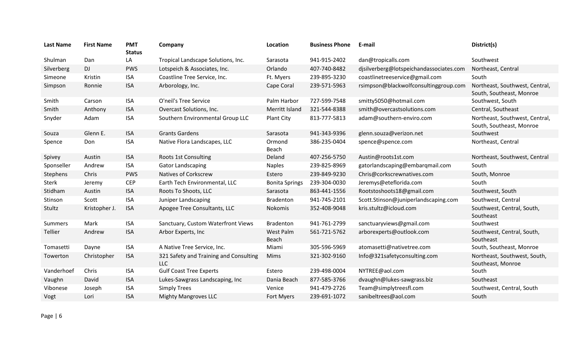| <b>Last Name</b> | <b>First Name</b> | <b>PMT</b><br><b>Status</b> | Company                                       | Location                  | <b>Business Phone</b> | E-mail                                  | District(s)                                                |
|------------------|-------------------|-----------------------------|-----------------------------------------------|---------------------------|-----------------------|-----------------------------------------|------------------------------------------------------------|
| Shulman          | Dan               | LA                          | Tropical Landscape Solutions, Inc.            | Sarasota                  | 941-915-2402          | dan@tropicalls.com                      | Southwest                                                  |
| Silverberg       | DJ                | <b>PWS</b>                  | Lotspeich & Associates, Inc.                  | Orlando                   | 407-740-8482          | djsilverberg@lotspeichandassociates.com | Northeast, Central                                         |
| Simeone          | Kristin           | <b>ISA</b>                  | Coastline Tree Service, Inc.                  | Ft. Myers                 | 239-895-3230          | coastlinetreeservice@gmail.com          | South                                                      |
| Simpson          | Ronnie            | <b>ISA</b>                  | Arborology, Inc.                              | Cape Coral                | 239-571-5963          | rsimpson@blackwolfconsultinggroup.com   | Northeast, Southwest, Central,<br>South, Southeast, Monroe |
| Smith            | Carson            | <b>ISA</b>                  | O'neil's Tree Service                         | Palm Harbor               | 727-599-7548          | smitty5050@hotmail.com                  | Southwest, South                                           |
| Smith            | Anthony           | <b>ISA</b>                  | Overcast Solutions, Inc.                      | Merritt Island            | 321-544-8388          | smith@overcastsolutions.com             | Central, Southeast                                         |
| Snyder           | Adam              | <b>ISA</b>                  | Southern Environmental Group LLC              | <b>Plant City</b>         | 813-777-5813          | adam@southern-enviro.com                | Northeast, Southwest, Central,<br>South, Southeast, Monroe |
| Souza            | Glenn E.          | <b>ISA</b>                  | <b>Grants Gardens</b>                         | Sarasota                  | 941-343-9396          | glenn.souza@verizon.net                 | Southwest                                                  |
| Spence           | Don               | <b>ISA</b>                  | Native Flora Landscapes, LLC                  | Ormond<br>Beach           | 386-235-0404          | spence@spence.com                       | Northeast, Central                                         |
| Spivey           | Austin            | <b>ISA</b>                  | Roots 1st Consulting                          | Deland                    | 407-256-5750          | Austin@roots1st.com                     | Northeast, Southwest, Central                              |
| Sponseller       | Andrew            | <b>ISA</b>                  | <b>Gator Landscaping</b>                      | <b>Naples</b>             | 239-825-8969          | gatorlandscaping@embarqmail.com         | South                                                      |
| Stephens         | Chris             | <b>PWS</b>                  | <b>Natives of Corkscrew</b>                   | Estero                    | 239-849-9230          | Chris@corkscrewnatives.com              | South, Monroe                                              |
| <b>Sterk</b>     | Jeremy            | <b>CEP</b>                  | Earth Tech Environmental, LLC                 | <b>Bonita Springs</b>     | 239-304-0030          | Jeremys@eteflorida.com                  | South                                                      |
| Stidham          | Austin            | <b>ISA</b>                  | Roots To Shoots, LLC                          | Sarasota                  | 863-441-1556          | Rootstoshoots18@gmail.com               | Southwest, South                                           |
| Stinson          | Scott             | <b>ISA</b>                  | Juniper Landscaping                           | Bradenton                 | 941-745-2101          | Scott.Stinson@juniperlandscaping.com    | Southwest, Central                                         |
| Stultz           | Kristopher J.     | <b>ISA</b>                  | Apogee Tree Consultants, LLC                  | Nokomis                   | 352-408-9048          | kris.stultz@icloud.com                  | Southwest, Central, South,<br>Southeast                    |
| Summers          | Mark              | <b>ISA</b>                  | Sanctuary, Custom Waterfront Views            | Bradenton                 | 941-761-2799          | sanctuaryviews@gmail.com                | Southwest                                                  |
| Tellier          | Andrew            | <b>ISA</b>                  | Arbor Experts, Inc.                           | <b>West Palm</b><br>Beach | 561-721-5762          | arborexperts@outlook.com                | Southwest, Central, South,<br>Southeast                    |
| Tomasetti        | Dayne             | <b>ISA</b>                  | A Native Tree Service, Inc.                   | Miami                     | 305-596-5969          | atomasetti@nativetree.com               | South, Southeast, Monroe                                   |
| Towerton         | Christopher       | <b>ISA</b>                  | 321 Safety and Training and Consulting<br>LLC | <b>Mims</b>               | 321-302-9160          | Info@321safetyconsulting.com            | Northeast, Southwest, South,<br>Southeast, Monroe          |
| Vanderhoef       | Chris             | <b>ISA</b>                  | <b>Gulf Coast Tree Experts</b>                | Estero                    | 239-498-0004          | NYTREE@aol.com                          | South                                                      |
| Vaughn           | David             | <b>ISA</b>                  | Lukes-Sawgrass Landscaping, Inc               | Dania Beach               | 877-585-3766          | dvaughn@lukes-sawgrass.biz              | Southeast                                                  |
| Vibonese         | Joseph            | <b>ISA</b>                  | <b>Simply Trees</b>                           | Venice                    | 941-479-2726          | Team@simplytreesfl.com                  | Southwest, Central, South                                  |
| Vogt             | Lori              | <b>ISA</b>                  | <b>Mighty Mangroves LLC</b>                   | Fort Myers                | 239-691-1072          | sanibeltrees@aol.com                    | South                                                      |